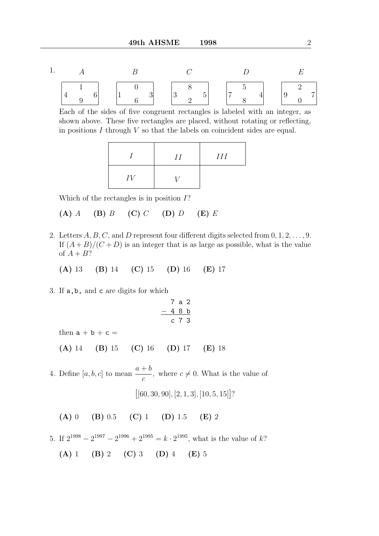1. EDCBA 7 0 9 2 4 8 7 5 5 2 3 8 3 6 1 0 6 9 4 1

Each of the sides of five congruent rectangles is labeled with an integer, as shown above. These five rectangles are placed, without rotating or reflecting, in positions  $I$  through  $V$  so that the labels on coincident sides are equal.

|    | II | III |
|----|----|-----|
| IV |    |     |

Which of the rectangles is in position I?

(A)  $A$  (B)  $B$  (C)  $C$  (D)  $D$  (E)  $E$ 

2. Letters  $A, B, C$ , and D represent four different digits selected from  $0, 1, 2, \ldots, 9$ . If  $(A + B)/(C + D)$  is an integer that is as large as possible, what is the value of  $A + B$ ?

(A) 13 (B) 14 (C) 15 (D) 16 (E) 17

3. If a,b, and c are digits for which

$$
\begin{array}{@{}c@{\hspace{1em}}c@{\hspace{1em}}c}\n & 7 & a & 2 \\
- & 4 & 8 & b \\
\hline\n & c & 7 & 3\n\end{array}
$$

then  $a + b + c =$ 

(A) 14 (B) 15 (C) 16 (D) 17 (E) 18

4. Define  $[a, b, c]$  to mean  $\frac{a+b}{b}$ c , where  $c \neq 0$ . What is the value of  $[60, 30, 90], [2, 1, 3], [10, 5, 15]$ ?

(A) 0 (B) 0.5 (C) 1 (D) 1.5 (E) 2

- 5. If  $2^{1998} 2^{1997} 2^{1996} + 2^{1995} = k \cdot 2^{1995}$ , what is the value of k?
	- (A) 1 (B) 2 (C) 3 (D) 4 (E) 5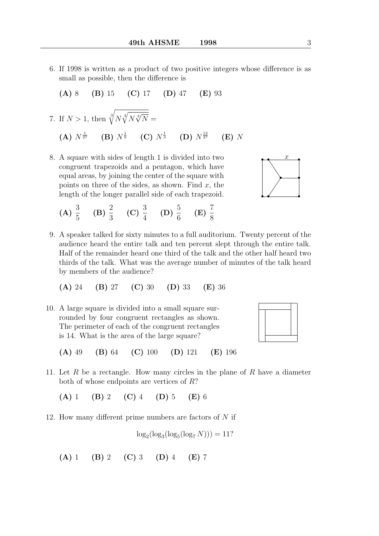6. If 1998 is written as a product of two positive integers whose difference is as small as possible, then the difference is

$$
(A) 8 (B) 15 (C) 17 (D) 47 (E) 93
$$

7. If 
$$
N > 1
$$
, then  $\sqrt[3]{N\sqrt[3]{N\sqrt[3]{N}}}$  =  
\n**(A)**  $N^{\frac{1}{27}}$  **(B)**  $N^{\frac{1}{9}}$  **(C)**  $N^{\frac{1}{3}}$  **(D)**  $N^{\frac{13}{27}}$  **(E)** N

8. A square with sides of length 1 is divided into two congruent trapezoids and a pentagon, which have equal areas, by joining the center of the square with points on three of the sides, as shown. Find  $x$ , the length of the longer parallel side of each trapezoid.

(A) 
$$
\frac{3}{5}
$$
 (B)  $\frac{2}{3}$  (C)  $\frac{3}{4}$  (D)  $\frac{5}{6}$  (E)  $\frac{7}{8}$ 

9. A speaker talked for sixty minutes to a full auditorium. Twenty percent of the audience heard the entire talk and ten percent slept through the entire talk. Half of the remainder heard one third of the talk and the other half heard two thirds of the talk. What was the average number of minutes of the talk heard by members of the audience?

$$
(A) 24 (B) 27 (C) 30 (D) 33 (E) 36
$$

10. A large square is divided into a small square surrounded by four congruent rectangles as shown. The perimeter of each of the congruent rectangles is 14. What is the area of the large square?



.

•

•

• •

•

 $\bullet$   $\stackrel{L}{\bullet}$ 

 $\overline{x}$ 

•

(A) 49 (B) 64 (C) 100 (D) 121 (E) 196

11. Let  $R$  be a rectangle. How many circles in the plane of  $R$  have a diameter both of whose endpoints are vertices of R?

(A) 1 (B) 2 (C) 4 (D) 5 (E) 6

12. How many different prime numbers are factors of  $N$  if

$$
\log_2(\log_3(\log_5(\log_7 N))) = 11?
$$

(A) 1 (B) 2 (C) 3 (D) 4 (E) 7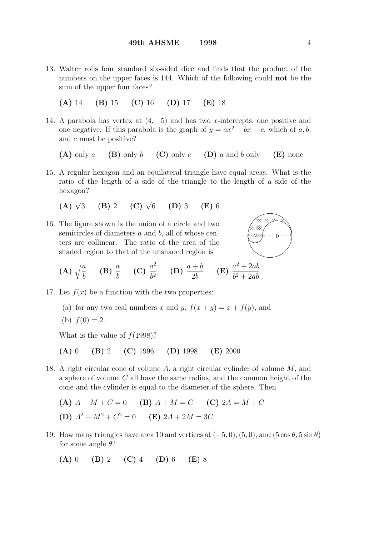- 13. Walter rolls four standard six-sided dice and finds that the product of the numbers on the upper faces is 144. Which of the following could **not** be the sum of the upper four faces?
	- (A) 14 (B) 15 (C) 16 (D) 17 (E) 18
- 14. A parabola has vertex at  $(4, -5)$  and has two x-intercepts, one positive and one negative. If this parabola is the graph of  $y = ax^2 + bx + c$ , which of a, b, and c must be positive?

(A) only a (B) only b (C) only c (D) a and b only (E) none

15. A regular hexagon and an equilateral triangle have equal areas. What is the ratio of the length of a side of the triangle to the length of a side of the hexagon?

(A) 
$$
\sqrt{3}
$$
 (B) 2 (C)  $\sqrt{6}$  (D) 3 (E) 6

16. The figure shown is the union of a circle and two semicircles of diameters  $a$  and  $b$ , all of whose centers are collinear. The ratio of the area of the shaded region to that of the unshaded region is



- (A)  $\sqrt{\frac{a}{\tau}}$ b (B)  $\frac{a}{b}$ b (C)  $\frac{a^2}{12}$  $\frac{a^2}{b^2}$  (D)  $\frac{a+b}{2b}$ 2b  $(E) \frac{a^2 + 2ab}{b^2 + 2ab}$  $b^2+2ab$
- 17. Let  $f(x)$  be a function with the two properties:
	- (a) for any two real numbers x and y,  $f(x + y) = x + f(y)$ , and
	- (b)  $f(0) = 2$ .

What is the value of  $f(1998)$ ?

(A) 0 (B) 2 (C) 1996 (D) 1998 (E) 2000

- 18. A right circular cone of volume A, a right circular cylinder of volume M, and a sphere of volume  $C$  all have the same radius, and the common height of the cone and the cylinder is equal to the diameter of the sphere. Then
	- (A)  $A M + C = 0$  (B)  $A + M = C$  (C)  $2A = M + C$ (D)  $A^2 - M^2 + C^2 = 0$  (E)  $2A + 2M = 3C$
- 19. How many triangles have area 10 and vertices at  $(-5, 0)$ ,  $(5, 0)$ , and  $(5 \cos \theta, 5 \sin \theta)$ for some angle  $\theta$ ?

(A) 0 (B) 2 (C) 4 (D) 6 (E) 8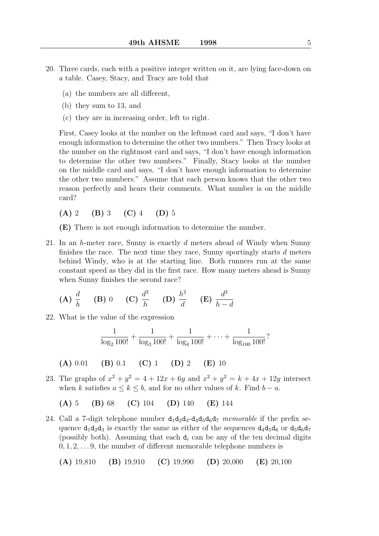- 20. Three cards, each with a positive integer written on it, are lying face-down on a table. Casey, Stacy, and Tracy are told that
	- (a) the numbers are all different,
	- (b) they sum to 13, and
	- (c) they are in increasing order, left to right.

First, Casey looks at the number on the leftmost card and says, "I don't have enough information to determine the other two numbers." Then Tracy looks at the number on the rightmost card and says, "I don't have enough information to determine the other two numbers." Finally, Stacy looks at the number on the middle card and says, "I don't have enough information to determine the other two numbers." Assume that each person knows that the other two reason perfectly and hears their comments. What number is on the middle card?

- (A) 2 (B) 3 (C) 4 (D) 5
- (E) There is not enough information to determine the number.
- 21. In an h-meter race, Sunny is exactly  $d$  meters ahead of Windy when Sunny finishes the race. The next time they race, Sunny sportingly starts  $d$  meters behind Windy, who is at the starting line. Both runners run at the same constant speed as they did in the first race. How many meters ahead is Sunny when Sunny finishes the second race?

(A) 
$$
\frac{d}{h}
$$
 (B) 0 (C)  $\frac{d^2}{h}$  (D)  $\frac{h^2}{d}$  (E)  $\frac{d^2}{h-d}$ 

22. What is the value of the expression

$$
\frac{1}{\log_2 100!} + \frac{1}{\log_3 100!} + \frac{1}{\log_4 100!} + \cdots + \frac{1}{\log_{100} 100!}
$$
?

(A) 0.01 (B) 0.1 (C) 1 (D) 2 (E) 10

23. The graphs of  $x^2 + y^2 = 4 + 12x + 6y$  and  $x^2 + y^2 = k + 4x + 12y$  intersect when k satisfies  $a \leq k \leq b$ , and for no other values of k. Find  $b - a$ .

(A) 5 (B) 68 (C) 104 (D) 140 (E) 144

24. Call a 7-digit telephone number  $d_1d_2d_3-d_4d_5d_6d_7$  memorable if the prefix sequence  $d_1d_2d_3$  is exactly the same as either of the sequences  $d_4d_5d_6$  or  $d_5d_6d_7$ (possibly both). Assuming that each  $d_i$  can be any of the ten decimal digits  $0, 1, 2, \ldots, 9$ , the number of different memorable telephone numbers is

(A) 19,810 (B) 19,910 (C) 19,990 (D) 20,000 (E) 20,100